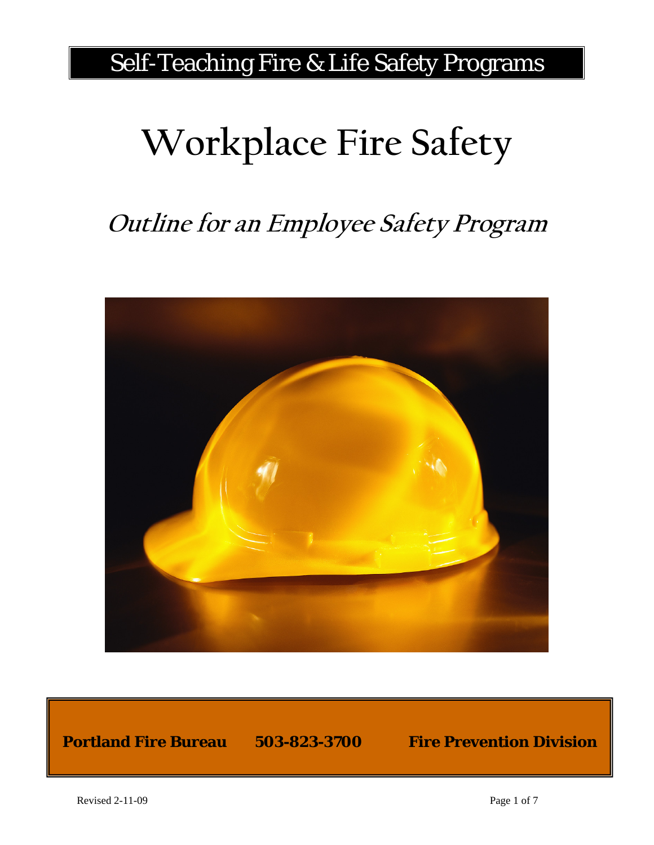# Self-Teaching Fire & Life Safety Programs

# **Workplace Fire Safety**

# **Outline for an Employee Safety Program**



#### **Portland Fire Bureau 503-823-3700 Fire Prevention Division**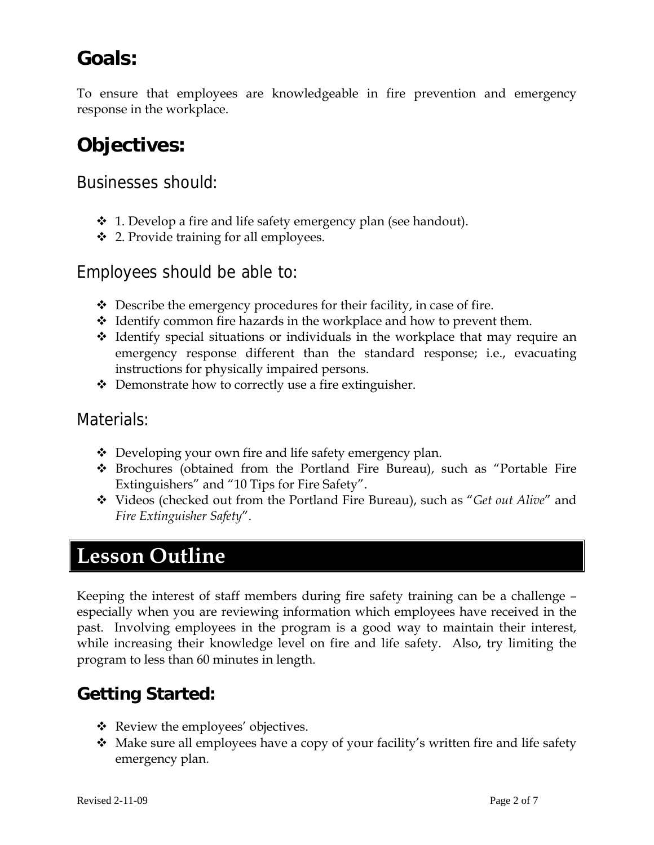# **Goals:**

To ensure that employees are knowledgeable in fire prevention and emergency response in the workplace.

## **Objectives:**

Businesses should:

- $\div$  1. Develop a fire and life safety emergency plan (see handout).
- $\div$  2. Provide training for all employees.

#### Employees should be able to:

- $\triangle$  Describe the emergency procedures for their facility, in case of fire.
- $\div$  Identify common fire hazards in the workplace and how to prevent them.
- $\triangleleft$  Identify special situations or individuals in the workplace that may require an emergency response different than the standard response; i.e., evacuating instructions for physically impaired persons.
- $\triangle$  Demonstrate how to correctly use a fire extinguisher.

#### Materials:

- $\triangle$  Developing your own fire and life safety emergency plan.
- Brochures (obtained from the Portland Fire Bureau), such as "Portable Fire Extinguishers" and "10 Tips for Fire Safety".
- Videos (checked out from the Portland Fire Bureau), such as "*Get out Alive*" and *Fire Extinguisher Safety*".

# **Lesson Outline**

Keeping the interest of staff members during fire safety training can be a challenge – especially when you are reviewing information which employees have received in the past. Involving employees in the program is a good way to maintain their interest, while increasing their knowledge level on fire and life safety. Also, try limiting the program to less than 60 minutes in length.

### **Getting Started:**

- $\triangleleft$  Review the employees' objectives.
- Make sure all employees have a copy of your facility's written fire and life safety emergency plan.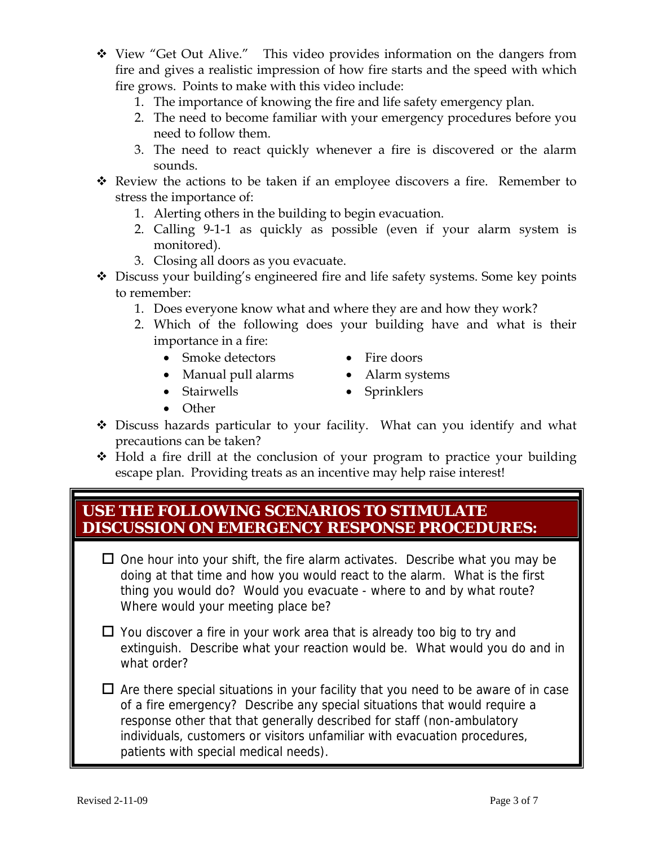- View "Get Out Alive." This video provides information on the dangers from fire and gives a realistic impression of how fire starts and the speed with which fire grows. Points to make with this video include:
	- 1. The importance of knowing the fire and life safety emergency plan.
	- 2. The need to become familiar with your emergency procedures before you need to follow them.
	- 3. The need to react quickly whenever a fire is discovered or the alarm sounds.
- \* Review the actions to be taken if an employee discovers a fire. Remember to stress the importance of:
	- 1. Alerting others in the building to begin evacuation.
	- 2. Calling 9-1-1 as quickly as possible (even if your alarm system is monitored).
	- 3. Closing all doors as you evacuate.
- Discuss your building's engineered fire and life safety systems. Some key points to remember:
	- 1. Does everyone know what and where they are and how they work?
	- 2. Which of the following does your building have and what is their importance in a fire:
		- Smoke detectors Fire doors
			-
		- Manual pull alarms Alarm systems
		- Stairwells Sprinklers
		- Other
- Discuss hazards particular to your facility. What can you identify and what precautions can be taken?
- Hold a fire drill at the conclusion of your program to practice your building escape plan. Providing treats as an incentive may help raise interest!

#### **USE THE FOLLOWING SCENARIOS TO STIMULATE DISCUSSION ON EMERGENCY RESPONSE PROCEDURES:**

- $\Box$  One hour into your shift, the fire alarm activates. Describe what you may be doing at that time and how you would react to the alarm. What is the first thing you would do? Would you evacuate - where to and by what route? Where would your meeting place be?
- $\Box$  You discover a fire in your work area that is already too big to try and extinguish. Describe what your reaction would be. What would you do and in what order?
- $\Box$  Are there special situations in your facility that you need to be aware of in case of a fire emergency? Describe any special situations that would require a response other that that generally described for staff (non-ambulatory individuals, customers or visitors unfamiliar with evacuation procedures, patients with special medical needs).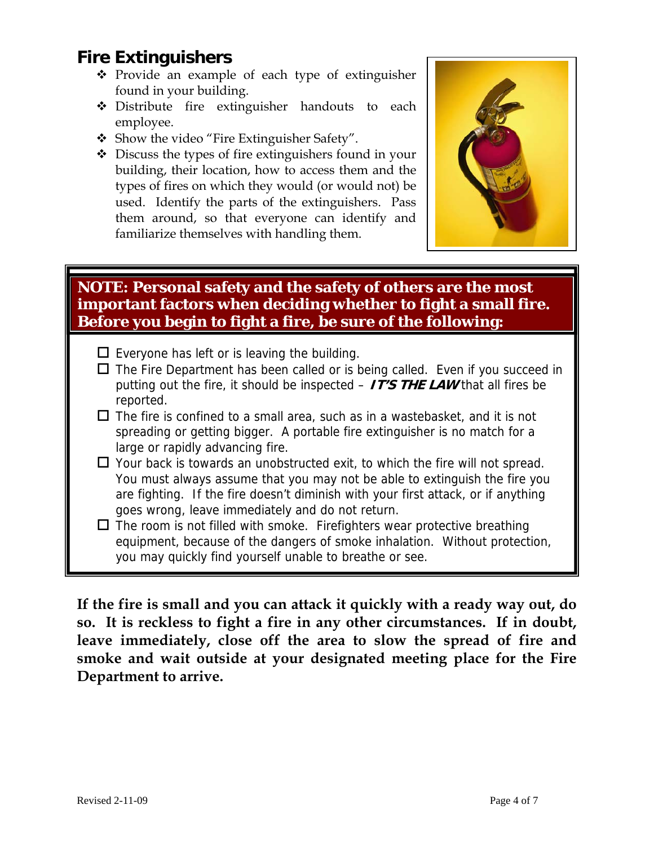### **Fire Extinguishers**

- $\div$  Provide an example of each type of extinguisher found in your building.
- Distribute fire extinguisher handouts to each employee.
- \* Show the video "Fire Extinguisher Safety".
- $\triangle$  Discuss the types of fire extinguishers found in your building, their location, how to access them and the types of fires on which they would (or would not) be used. Identify the parts of the extinguishers. Pass them around, so that everyone can identify and familiarize themselves with handling them.



#### **NOTE: Personal safety and the safety of others are the most important factors when deciding whether to fight a small fire. Before you begin to fight a fire, be sure of the following:**

- $\square$  Everyone has left or is leaving the building.
- $\Box$  The Fire Department has been called or is being called. Even if you succeed in putting out the fire, it should be inspected – **IT'S THE LAW** that all fires be reported.
- $\Box$  The fire is confined to a small area, such as in a wastebasket, and it is not spreading or getting bigger. A portable fire extinguisher is no match for a large or rapidly advancing fire.
- $\Box$  Your back is towards an unobstructed exit, to which the fire will not spread. You must always assume that you may not be able to extinguish the fire you are fighting. If the fire doesn't diminish with your first attack, or if anything goes wrong, leave immediately and do not return.
- $\Box$  The room is not filled with smoke. Firefighters wear protective breathing equipment, because of the dangers of smoke inhalation. Without protection, you may quickly find yourself unable to breathe or see.

**If the fire is small and you can attack it quickly with a ready way out, do so. It is reckless to fight a fire in any other circumstances. If in doubt, leave immediately, close off the area to slow the spread of fire and smoke and wait outside at your designated meeting place for the Fire Department to arrive.**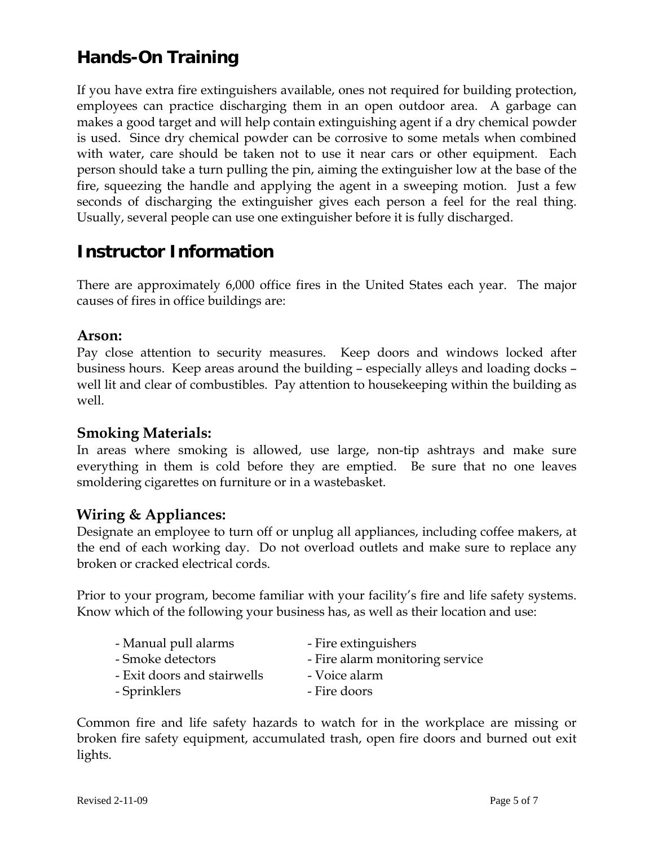### **Hands-On Training**

If you have extra fire extinguishers available, ones not required for building protection, employees can practice discharging them in an open outdoor area. A garbage can makes a good target and will help contain extinguishing agent if a dry chemical powder is used. Since dry chemical powder can be corrosive to some metals when combined with water, care should be taken not to use it near cars or other equipment. Each person should take a turn pulling the pin, aiming the extinguisher low at the base of the fire, squeezing the handle and applying the agent in a sweeping motion. Just a few seconds of discharging the extinguisher gives each person a feel for the real thing. Usually, several people can use one extinguisher before it is fully discharged.

#### **Instructor Information**

There are approximately 6,000 office fires in the United States each year. The major causes of fires in office buildings are:

#### **Arson:**

Pay close attention to security measures. Keep doors and windows locked after business hours. Keep areas around the building – especially alleys and loading docks – well lit and clear of combustibles. Pay attention to housekeeping within the building as well.

#### **Smoking Materials:**

In areas where smoking is allowed, use large, non-tip ashtrays and make sure everything in them is cold before they are emptied. Be sure that no one leaves smoldering cigarettes on furniture or in a wastebasket.

#### **Wiring & Appliances:**

Designate an employee to turn off or unplug all appliances, including coffee makers, at the end of each working day. Do not overload outlets and make sure to replace any broken or cracked electrical cords.

Prior to your program, become familiar with your facility's fire and life safety systems. Know which of the following your business has, as well as their location and use:

| - Manual pull alarms        | - Fire extinguishers            |
|-----------------------------|---------------------------------|
| - Smoke detectors           | - Fire alarm monitoring service |
| - Exit doors and stairwells | - Voice alarm                   |
| - Sprinklers                | - Fire doors                    |

Common fire and life safety hazards to watch for in the workplace are missing or broken fire safety equipment, accumulated trash, open fire doors and burned out exit lights.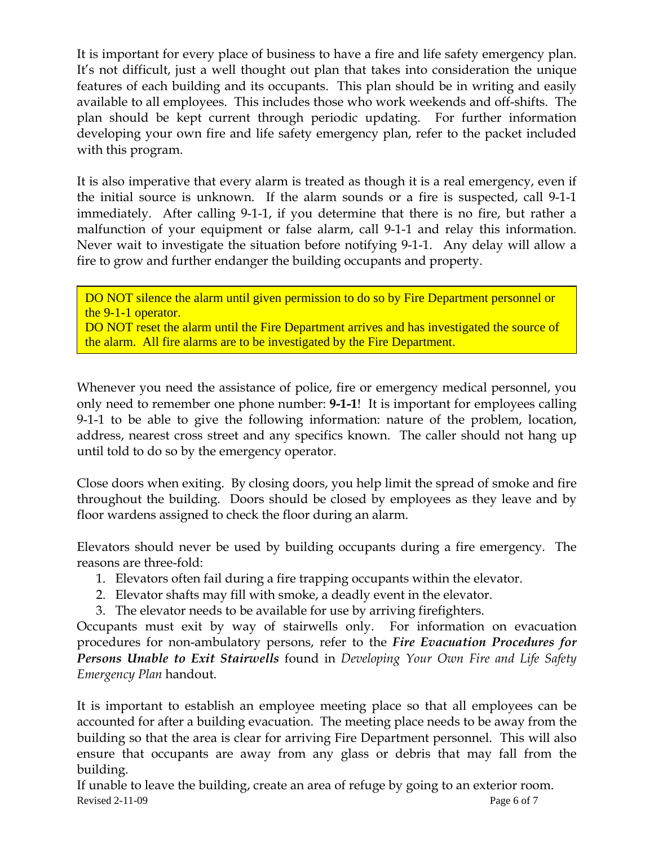It is important for every place of business to have a fire and life safety emergency plan. It's not difficult, just a well thought out plan that takes into consideration the unique features of each building and its occupants. This plan should be in writing and easily available to all employees. This includes those who work weekends and off-shifts. The plan should be kept current through periodic updating. For further information developing your own fire and life safety emergency plan, refer to the packet included with this program.

It is also imperative that every alarm is treated as though it is a real emergency, even if the initial source is unknown. If the alarm sounds or a fire is suspected, call 9-1-1 immediately. After calling 9-1-1, if you determine that there is no fire, but rather a malfunction of your equipment or false alarm, call 9-1-1 and relay this information. Never wait to investigate the situation before notifying 9-1-1. Any delay will allow a fire to grow and further endanger the building occupants and property.

DO NOT silence the alarm until given permission to do so by Fire Department personnel or the 9-1-1 operator.

DO NOT reset the alarm until the Fire Department arrives and has investigated the source of the alarm. All fire alarms are to be investigated by the Fire Department.

Whenever you need the assistance of police, fire or emergency medical personnel, you only need to remember one phone number: **9-1-1**! It is important for employees calling 9-1-1 to be able to give the following information: nature of the problem, location, address, nearest cross street and any specifics known. The caller should not hang up until told to do so by the emergency operator.

Close doors when exiting. By closing doors, you help limit the spread of smoke and fire throughout the building. Doors should be closed by employees as they leave and by floor wardens assigned to check the floor during an alarm.

Elevators should never be used by building occupants during a fire emergency. The reasons are three-fold:

- 1. Elevators often fail during a fire trapping occupants within the elevator.
- 2. Elevator shafts may fill with smoke, a deadly event in the elevator.
- 3. The elevator needs to be available for use by arriving firefighters.

Occupants must exit by way of stairwells only. For information on evacuation procedures for non-ambulatory persons, refer to the *Fire Evacuation Procedures for Persons Unable to Exit Stairwells* found in *Developing Your Own Fire and Life Safety Emergency Plan* handout.

It is important to establish an employee meeting place so that all employees can be accounted for after a building evacuation. The meeting place needs to be away from the building so that the area is clear for arriving Fire Department personnel. This will also ensure that occupants are away from any glass or debris that may fall from the building.

Revised 2-11-09 Page 6 of 7 If unable to leave the building, create an area of refuge by going to an exterior room.